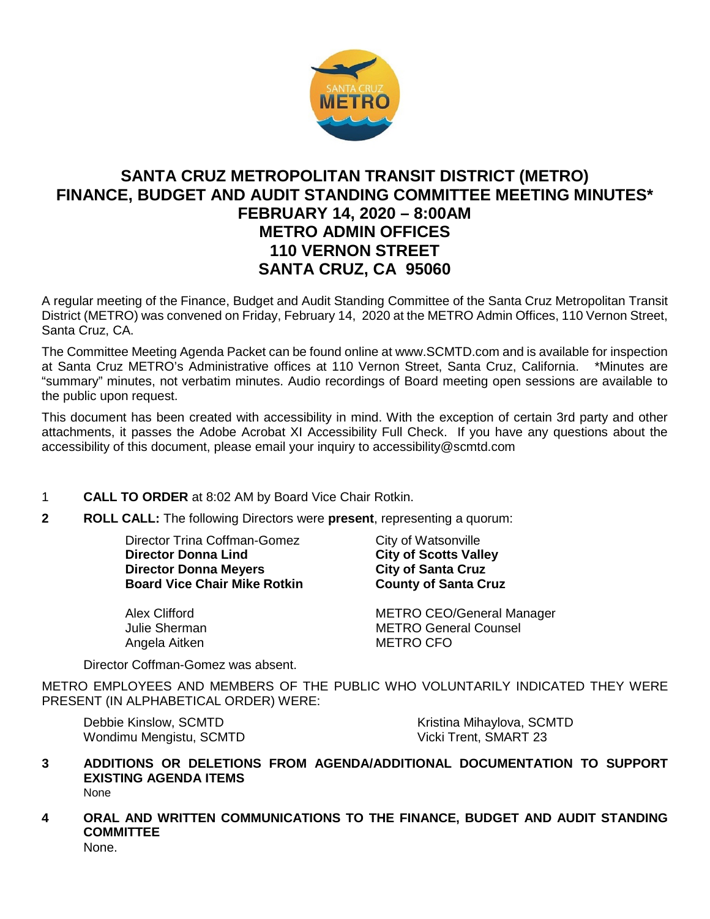

# **SANTA CRUZ METROPOLITAN TRANSIT DISTRICT (METRO) FINANCE, BUDGET AND AUDIT STANDING COMMITTEE MEETING MINUTES\* FEBRUARY 14, 2020 – 8:00AM METRO ADMIN OFFICES 110 VERNON STREET SANTA CRUZ, CA 95060**

A regular meeting of the Finance, Budget and Audit Standing Committee of the Santa Cruz Metropolitan Transit District (METRO) was convened on Friday, February 14, 2020 at the METRO Admin Offices, 110 Vernon Street, Santa Cruz, CA.

The Committee Meeting Agenda Packet can be found online at www.SCMTD.com and is available for inspection at Santa Cruz METRO's Administrative offices at 110 Vernon Street, Santa Cruz, California. \*Minutes are "summary" minutes, not verbatim minutes. Audio recordings of Board meeting open sessions are available to the public upon request.

This document has been created with accessibility in mind. With the exception of certain 3rd party and other attachments, it passes the Adobe Acrobat XI Accessibility Full Check. If you have any questions about the accessibility of this document, please email your inquiry to accessibility@scmtd.com

## 1 **CALL TO ORDER** at 8:02 AM by Board Vice Chair Rotkin.

**2 ROLL CALL:** The following Directors were **present**, representing a quorum:

Director Trina Coffman-Gomez City of Watsonville **Director Donna Lind City of Scotts Valley<br>
Director Donna Meyers City of Santa Cruz Director Donna Meyers City of Santa Cruz<br>
Board Vice Chair Mike Rotkin County of Santa Cruz Board Vice Chair Mike Rotkin** 

Angela Aitken

Alex Clifford **METRO CEO/General Manager** Julie Sherman METRO General Counsel<br>Angela Aitken METRO CFO

Director Coffman-Gomez was absent.

METRO EMPLOYEES AND MEMBERS OF THE PUBLIC WHO VOLUNTARILY INDICATED THEY WERE PRESENT (IN ALPHABETICAL ORDER) WERE:

Debbie Kinslow, SCMTD Wondimu Mengistu, SCMTD Kristina Mihaylova, SCMTD Vicki Trent, SMART 23

- **3 ADDITIONS OR DELETIONS FROM AGENDA/ADDITIONAL DOCUMENTATION TO SUPPORT EXISTING AGENDA ITEMS**  None
- **4 ORAL AND WRITTEN COMMUNICATIONS TO THE FINANCE, BUDGET AND AUDIT STANDING COMMITTEE**

None.